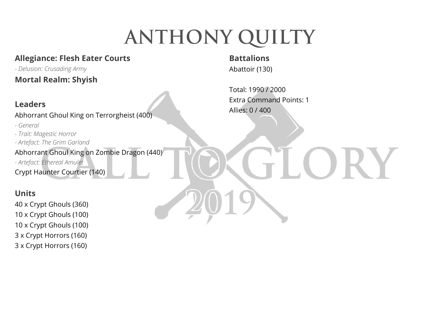# **ANTHONY QUILTY**

# **Allegiance: Flesh Eater Courts**

*- Delusion: Crusading Army*  **Mortal Realm: Shyish** 

#### **Leaders**

Abhorrant Ghoul King on Terrorgheist (400)

- *General*
- *Trait: Magestic Horror*
- *Artefact: The Grim Garland*

Abhorrant Ghoul King on Zombie Dragon (440)

*- Artefact: Ethereal Amulet* 

Crypt Haunter Courtier (140)

# **Units**

40 x Crypt Ghouls (360) 10 x Crypt Ghouls (100) 10 x Crypt Ghouls (100) 3 x Crypt Horrors (160) 3 x Crypt Horrors (160)

# **Battalions**

Abattoir (130)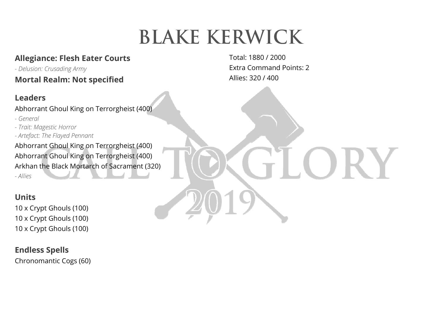# **BLAKE KERWICK**

# **Allegiance: Flesh Eater Courts**

*- Delusion: Crusading Army*  **Mortal Realm: Not specified** 

### **Leaders**

Abhorrant Ghoul King on Terrorgheist (400)

- *General*
- *Trait: Magestic Horror*
- *Artefact: The Flayed Pennant*

Abhorrant Ghoul King on Terrorgheist (400) Abhorrant Ghoul King on Terrorgheist (400) Arkhan the Black Mortarch of Sacrament (320) *- Allies* 

# **Units**

10 x Crypt Ghouls (100) 10 x Crypt Ghouls (100) 10 x Crypt Ghouls (100)

### **Endless Spells**

Chronomantic Cogs (60)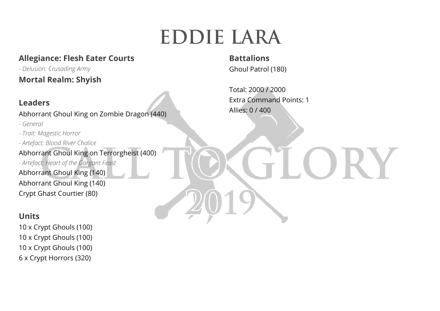# **EDDIE LARA**

### **Allegiance: Flesh Eater Courts**

*- Delusion: Crusading Army*  **Mortal Realm: Shyish** 

#### **Leaders**

Abhorrant Ghoul King on Zombie Dragon (440)

*- General* 

*- Trait: Magestic Horror - Artefact: Blood River Chalice*  Abhorrant Ghoul King on Terrorgheist (400) *- Artefact: Heart of the Gargant Feast*  Abhorrant Ghoul King (140) Abhorrant Ghoul King (140) Crypt Ghast Courtier (80)

#### **Units**

10 x Crypt Ghouls (100) 10 x Crypt Ghouls (100) 10 x Crypt Ghouls (100) 6 x Crypt Horrors (320)

**Battalions** Ghoul Patrol (180)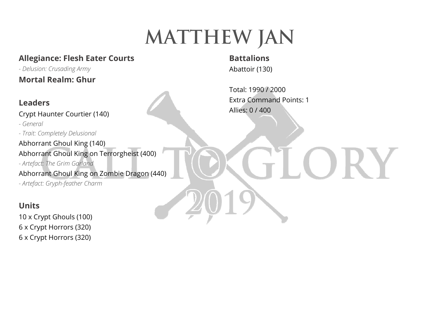# **Matthew JAN**

### **Allegiance: Flesh Eater Courts**

*- Delusion: Crusading Army*  **Mortal Realm: Ghur** 

#### **Leaders**

Crypt Haunter Courtier (140)

*- General* 

*- Trait: Completely Delusional* 

Abhorrant Ghoul King (140) Abhorrant Ghoul King on Terrorgheist (400)

*- Artefact: The Grim Garland*  Abhorrant Ghoul King on Zombie Dragon (440)

*- Artefact: Gryph-feather Charm* 

#### **Units**

10 x Crypt Ghouls (100) 6 x Crypt Horrors (320) 6 x Crypt Horrors (320)

# **Battalions**

Abattoir (130)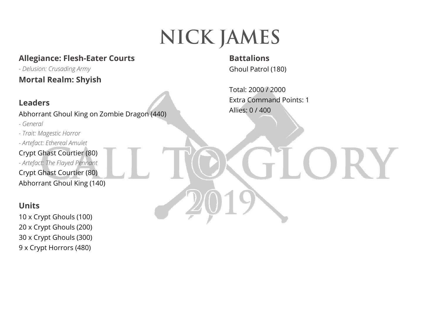# **NICK JAMES**

### **Allegiance: Flesh-Eater Courts**

*- Delusion: Crusading Army*  **Mortal Realm: Shyish** 

### **Leaders**

Abhorrant Ghoul King on Zombie Dragon (440)

*- General* 

*- Trait: Magestic Horror* 

*- Artefact: Ethereal Amulet* 

Crypt Ghast Courtier (80) *- Artefact: The Flayed Pennant*  Crypt Ghast Courtier (80) Abhorrant Ghoul King (140)

#### **Units**

10 x Crypt Ghouls (100) 20 x Crypt Ghouls (200) 30 x Crypt Ghouls (300) 9 x Crypt Horrors (480)

**Battalions** Ghoul Patrol (180)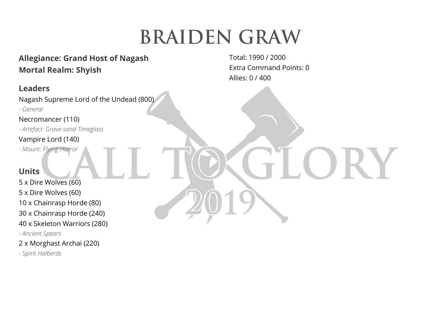# **BRAIDEN GRAW**

### **Allegiance: Grand Host of Nagash Mortal Realm: Shyish**

#### **Leaders**

Nagash Supreme Lord of the Undead (800)

*- General* 

Necromancer (110)

*- Artefact: Grave-sand Timeglass* 

#### Vampire Lord (140)

*- Mount: Flying Horror* 

#### **Units**

5 x Dire Wolves (60) 5 x Dire Wolves (60) 10 x Chainrasp Horde (80) 30 x Chainrasp Horde (240) 40 x Skeleton Warriors (280) *- Ancient Spears* 

2 x Morghast Archai (220)

*- Spirit Halberds*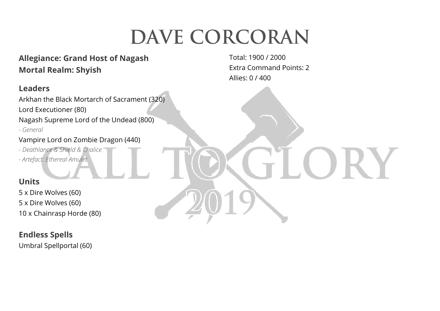# **DAVE CORCORAN**

# **Allegiance: Grand Host of Nagash Mortal Realm: Shyish**

### **Leaders**

Arkhan the Black Mortarch of Sacrament (320) Lord Executioner (80) Nagash Supreme Lord of the Undead (800) *- General* 

#### Vampire Lord on Zombie Dragon (440)

*- Deathlance & Shield & Chalice* 

*- Artefact: Ethereal Amulet* 

### **Units**

5 x Dire Wolves (60) 5 x Dire Wolves (60) 10 x Chainrasp Horde (80)

#### **Endless Spells**

Umbral Spellportal (60)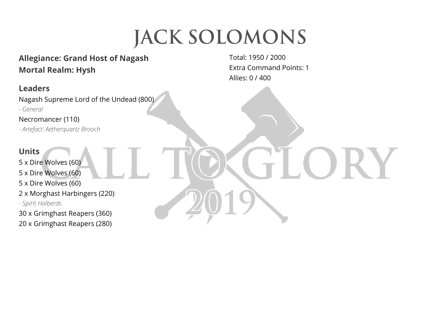# **JACK SOLOMONS**

# **Allegiance: Grand Host of Nagash Mortal Realm: Hysh**

### **Leaders**

Nagash Supreme Lord of the Undead (800)

*- General* 

Necromancer (110)

*- Artefact: Aetherquartz Brooch* 

#### **Units**

5 x Dire Wolves (60)

5 x Dire Wolves (60)

5 x Dire Wolves (60)

2 x Morghast Harbingers (220)

*- Spirit Halberds* 

30 x Grimghast Reapers (360)

20 x Grimghast Reapers (280)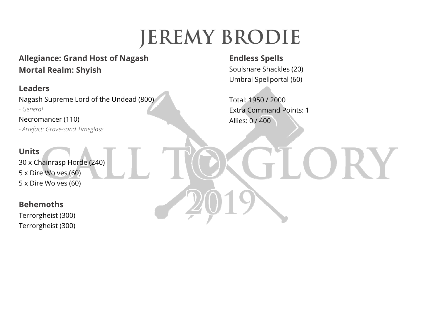# **JEREMY BRODIE**

# **Allegiance: Grand Host of Nagash Mortal Realm: Shyish**

#### **Leaders**

Nagash Supreme Lord of the Undead (800) *- General* 

Necromancer (110) *- Artefact: Grave-sand Timeglass* 

#### **Units**

30 x Chainrasp Horde (240) 5 x Dire Wolves (60) 5 x Dire Wolves (60)

#### **Behemoths**

Terrorgheist (300) Terrorgheist (300)

# **Endless Spells**

Soulsnare Shackles (20) Umbral Spellportal (60)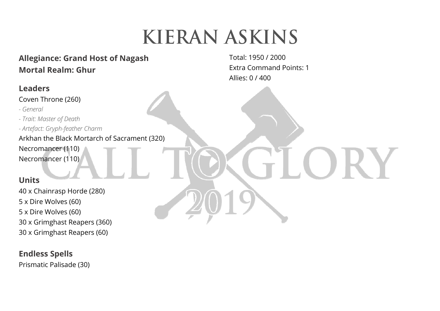# **KIERAN ASKINS**

# **Allegiance: Grand Host of Nagash Mortal Realm: Ghur**

### **Leaders**

Coven Throne (260)

- *General*
- *Trait: Master of Death*
- *Artefact: Gryph-feather Charm*
- Arkhan the Black Mortarch of Sacrament (320)
- Necromancer (110)
- Necromancer (110)

### **Units**

40 x Chainrasp Horde (280) 5 x Dire Wolves (60) 5 x Dire Wolves (60) 30 x Grimghast Reapers (360) 30 x Grimghast Reapers (60)

### **Endless Spells**

Prismatic Palisade (30)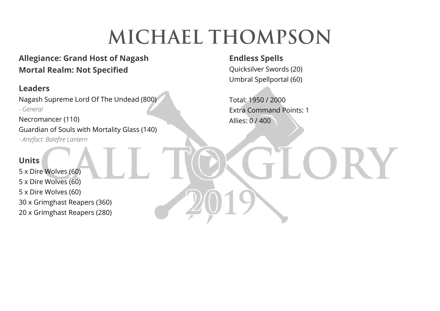# **MICHAEL THOMPSON**

# **Allegiance: Grand Host of Nagash Mortal Realm: Not Specified**

#### **Leaders**

Nagash Supreme Lord Of The Undead (800) *- General* 

Necromancer (110) Guardian of Souls with Mortality Glass (140) *- Artefact: Balefire Lantern* 

#### **Units**

5 x Dire Wolves (60) 5 x Dire Wolves (60) 5 x Dire Wolves (60) 30 x Grimghast Reapers (360) 20 x Grimghast Reapers (280)

**Endless Spells** 

Quicksilver Swords (20) Umbral Spellportal (60)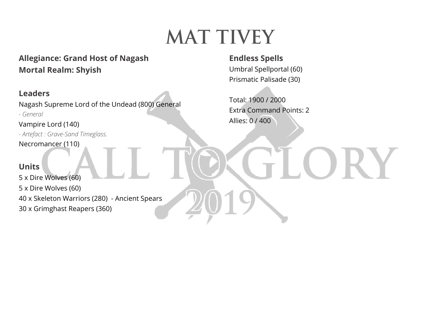# **Mat Tivey**

**Allegiance: Grand Host of Nagash Mortal Realm: Shyish**

### **Leaders**

Nagash Supreme Lord of the Undead (800) General *- General* 

Vampire Lord (140) *- Artefact : Grave-Sand Timeglass.*  Necromancer (110)

#### **Units**

5 x Dire Wolves (60) 5 x Dire Wolves (60) 40 x Skeleton Warriors (280) - Ancient Spears 30 x Grimghast Reapers (360)

**Endless Spells**  Umbral Spellportal (60) Prismatic Palisade (30)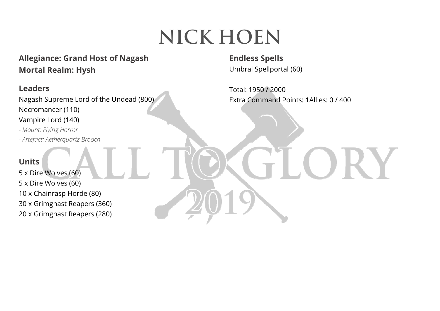# **NICK HOEN**

# **Allegiance: Grand Host of Nagash Mortal Realm: Hysh**

#### **Leaders**

Nagash Supreme Lord of the Undead (800) Necromancer (110) Vampire Lord (140)

*- Mount: Flying Horror - Artefact: Aetherquartz Brooch* 

#### **Units**

5 x Dire Wolves (60) 5 x Dire Wolves (60) 10 x Chainrasp Horde (80) 30 x Grimghast Reapers (360) 20 x Grimghast Reapers (280) **Endless Spells**  Umbral Spellportal (60)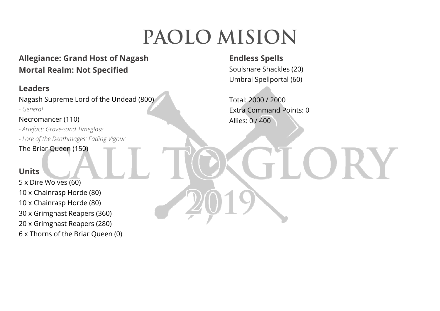# **PAOLO MISION**

# **Allegiance: Grand Host of Nagash Mortal Realm: Not Specified**

### **Leaders**

Nagash Supreme Lord of the Undead (800)

*- General* 

Necromancer (110)

*- Artefact: Grave-sand Timeglass* 

*- Lore of the Deathmages: Fading Vigour* 

The Briar Queen (150)

#### **Units**

5 x Dire Wolves (60) 10 x Chainrasp Horde (80) 10 x Chainrasp Horde (80) 30 x Grimghast Reapers (360) 20 x Grimghast Reapers (280) 6 x Thorns of the Briar Queen (0)

# **Endless Spells**

Soulsnare Shackles (20) Umbral Spellportal (60)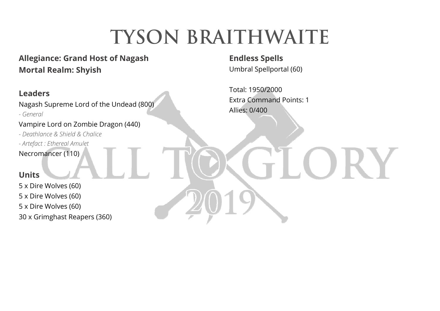# **TYSON BRAITHWAITE**

# **Allegiance: Grand Host of Nagash Mortal Realm: Shyish**

### **Leaders**

Nagash Supreme Lord of the Undead (800)

*- General* 

Vampire Lord on Zombie Dragon (440)

*- Deathlance & Shield & Chalice* 

*- Artefact : Ethereal Amulet* 

Necromancer (110)

#### **Units**

5 x Dire Wolves (60) 5 x Dire Wolves (60) 5 x Dire Wolves (60) 30 x Grimghast Reapers (360) **Endless Spells**  Umbral Spellportal (60)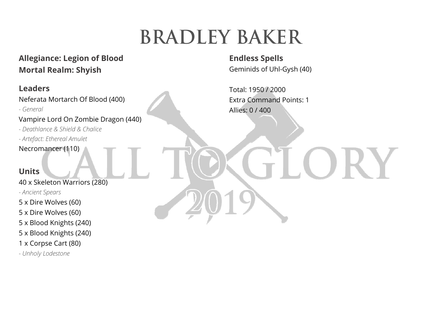# **BRADLEY BAKER**

# **Allegiance: Legion of Blood Mortal Realm: Shyish**

### **Leaders**

Neferata Mortarch Of Blood (400)

*- General* 

Vampire Lord On Zombie Dragon (440)

*- Deathlance & Shield & Chalice* 

*- Artefact: Ethereal Amulet* 

Necromancer (110)

#### **Units**

40 x Skeleton Warriors (280) *- Ancient Spears* 

5 x Dire Wolves (60)

5 x Dire Wolves (60)

5 x Blood Knights (240)

5 x Blood Knights (240)

1 x Corpse Cart (80)

*- Unholy Lodestone* 

**Endless Spells**  Geminids of Uhl-Gysh (40)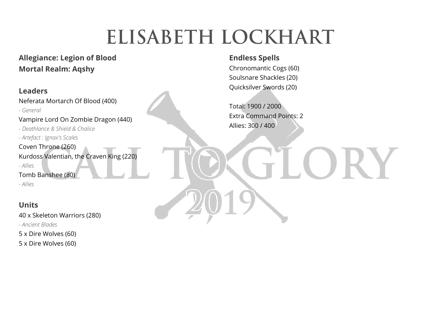# **ELISABETH LOCKHART**

### **Allegiance: Legion of Blood Mortal Realm: Aqshy**

#### **Leaders**

Neferata Mortarch Of Blood (400)

*- General* 

Vampire Lord On Zombie Dragon (440)

*- Deathlance & Shield & Chalice* 

*- Artefact : Ignax's Scales* 

Coven Throne (260) Kurdoss Valentian, the Craven King (220)

*- Allies* 

Tomb Banshee (80)

*- Allies* 

### **Units**

40 x Skeleton Warriors (280) *- Ancient Blades* 5 x Dire Wolves (60) 5 x Dire Wolves (60)

#### **Endless Spells**

Chronomantic Cogs (60) Soulsnare Shackles (20) Quicksilver Swords (20)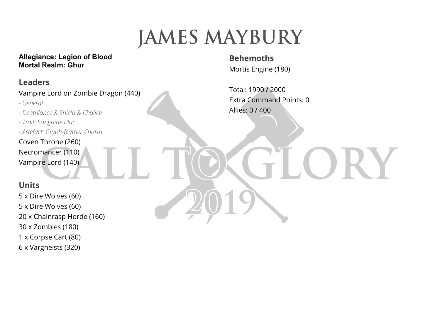# **JAMES MAYBURY**

#### **Allegiance: Legion of Blood Mortal Realm: Ghur**

### **Leaders**

Vampire Lord on Zombie Dragon (440)

- *General*
- *Deathlance & Shield & Chalice*
- *Trait: Sanguine Blur*
- *Artefact: Gryph-feather Charm*
- Coven Throne (260) Necromancer (110) Vampire Lord (140)

# **Units**

5 x Dire Wolves (60) 5 x Dire Wolves (60) 20 x Chainrasp Horde (160) 30 x Zombies (180) 1 x Corpse Cart (80) 6 x Vargheists (320)

**Behemoths** Mortis Engine (180)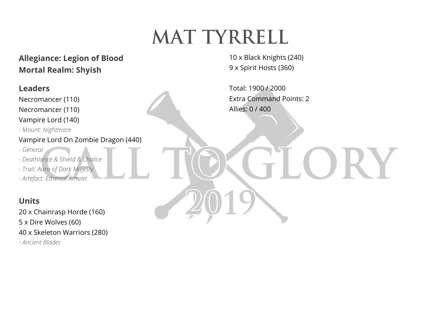# **Mat Tyrrell**

**Allegiance: Legion of Blood Mortal Realm: Shyish** 

### **Leaders**

Necromancer (110) Necromancer (110)

Vampire Lord (140)

*- Mount: Nightmare* 

#### Vampire Lord On Zombie Dragon (440)

- *General*
- *Deathlance & Shield & Chalice*
- *Trait: Aura of Dark Majesty*
- *Artefact: Ethereal Amulet*

### **Units**

20 x Chainrasp Horde (160) 5 x Dire Wolves (60) 40 x Skeleton Warriors (280) *- Ancient Blades* 

10 x Black Knights (240) 9 x Spirit Hosts (360)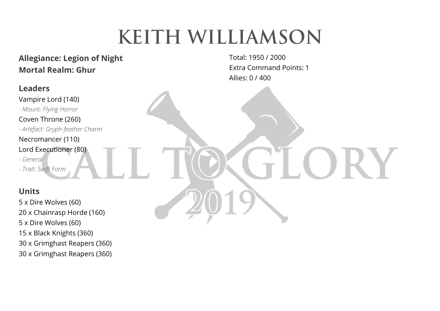# **KEITH WILLIAMSON**

# **Allegiance: Legion of Night Mortal Realm: Ghur**

#### **Leaders**

Vampire Lord (140) *- Mount: Flying Horror*  Coven Throne (260) *- Artefact: Gryph-feather Charm*  Necromancer (110)

Lord Executioner (80)

*- General* 

*- Trait: Swift Form* 

### **Units**

5 x Dire Wolves (60) 20 x Chainrasp Horde (160) 5 x Dire Wolves (60) 15 x Black Knights (360) 30 x Grimghast Reapers (360) 30 x Grimghast Reapers (360)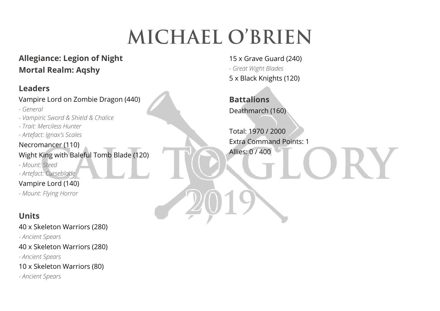# **MICHAEL O'BRIEN**

# **Allegiance: Legion of Night Mortal Realm: Aqshy**

# **Leaders**

Vampire Lord on Zombie Dragon (440)

- *General*
- *Vampiric Sword & Shield & Chalice*
- *Trait: Merciless Hunter*
- *Artefact: Ignax's Scales*

### Necromancer (110)

Wight King with Baleful Tomb Blade (120)

- *Mount: Steed*
- *Artefact: Curseblade*

#### Vampire Lord (140)

*- Mount: Flying Horror* 

# **Units**

40 x Skeleton Warriors (280)

*- Ancient Spears* 

40 x Skeleton Warriors (280)

*- Ancient Spears* 

10 x Skeleton Warriors (80)

*- Ancient Spears* 

15 x Grave Guard (240) *- Great Wight Blades*  5 x Black Knights (120)

**Battalions** Deathmarch (160)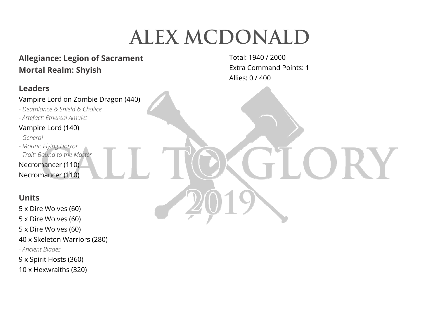# **Alex McDonald**

# **Allegiance: Legion of Sacrament Mortal Realm: Shyish**

#### **Leaders**

#### Vampire Lord on Zombie Dragon (440)

- *Deathlance & Shield & Chalice*
- *Artefact: Ethereal Amulet*

#### Vampire Lord (140)

- *General*
- *Mount: Flying Horror*
- *Trait: Bound to the Master*

Necromancer (110) Necromancer (110)

### **Units**

5 x Dire Wolves (60)

- 5 x Dire Wolves (60)
- 5 x Dire Wolves (60)
- 40 x Skeleton Warriors (280)
- *Ancient Blades*
- 9 x Spirit Hosts (360)
- 10 x Hexwraiths (320)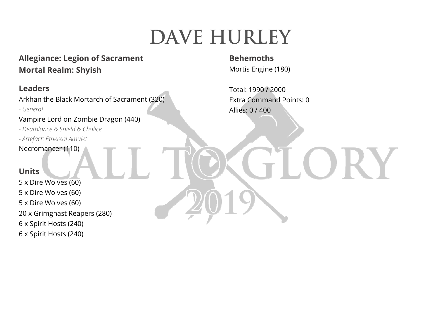# **DAVE HURLEY**

# **Allegiance: Legion of Sacrament Mortal Realm: Shyish**

### **Leaders**

Arkhan the Black Mortarch of Sacrament (320)

*- General* 

Vampire Lord on Zombie Dragon (440)

*- Deathlance & Shield & Chalice* 

*- Artefact: Ethereal Amulet* 

Necromancer (110)

#### **Units**

5 x Dire Wolves (60) 5 x Dire Wolves (60) 5 x Dire Wolves (60) 20 x Grimghast Reapers (280) 6 x Spirit Hosts (240) 6 x Spirit Hosts (240)

### **Behemoths**

Mortis Engine (180)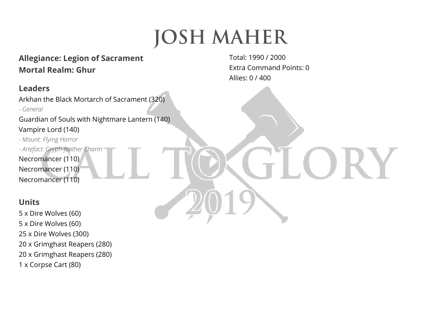# **JOSH MAHER**

# **Allegiance: Legion of Sacrament Mortal Realm: Ghur**

#### **Leaders**

Arkhan the Black Mortarch of Sacrament (320)

*- General* 

Guardian of Souls with Nightmare Lantern (140) Vampire Lord (140)

*- Mount: Flying Horror - Artefact: Gryph-feather Charm*  Necromancer (110) Necromancer (110) Necromancer (110)

### **Units**

5 x Dire Wolves (60) 5 x Dire Wolves (60) 25 x Dire Wolves (300) 20 x Grimghast Reapers (280) 20 x Grimghast Reapers (280) 1 x Corpse Cart (80)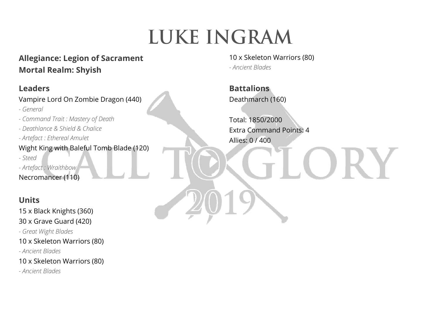# **LUKE INGRAM**

# **Allegiance: Legion of Sacrament Mortal Realm: Shyish**

### **Leaders**

Vampire Lord On Zombie Dragon (440)

*- General* 

- *Command Trait : Mastery of Death*
- *Deathlance & Shield & Chalice*
- *Artefact : Ethereal Amulet*
- Wight King with Baleful Tomb Blade (120)

*- Steed* 

*- Artefact : Wraithbow* 

Necromancer (110)

# **Units**

15 x Black Knights (360) 30 x Grave Guard (420)

*- Great Wight Blades* 

10 x Skeleton Warriors (80)

*- Ancient Blades* 

10 x Skeleton Warriors (80)

*- Ancient Blades* 

10 x Skeleton Warriors (80) *- Ancient Blades* 

**Battalions** Deathmarch (160)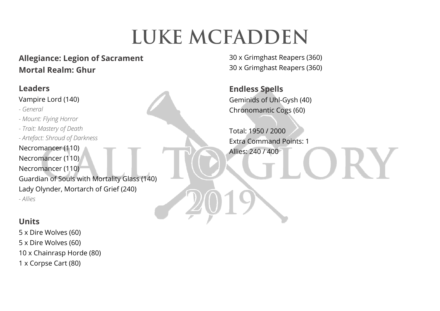# **LUKE MCFADDEN**

# **Allegiance: Legion of Sacrament Mortal Realm: Ghur**

30 x Grimghast Reapers (360) 30 x Grimghast Reapers (360)

**Endless Spells**  Geminids of Uhl-Gysh (40) Chronomantic Cogs (60)

Total: 1950 / 2000 Extra Command Points: 1 Allies: 240 / 400

Necromancer (110) Necromancer (110) Necromancer (110) Guardian of Souls with Mortality Glass (140) Lady Olynder, Mortarch of Grief (240) *- Allies* 

# **Units**

**Leaders** 

*- General* 

Vampire Lord (140)

*- Mount: Flying Horror - Trait: Mastery of Death* 

*- Artefact: Shroud of Darkness* 

5 x Dire Wolves (60) 5 x Dire Wolves (60) 10 x Chainrasp Horde (80) 1 x Corpse Cart (80)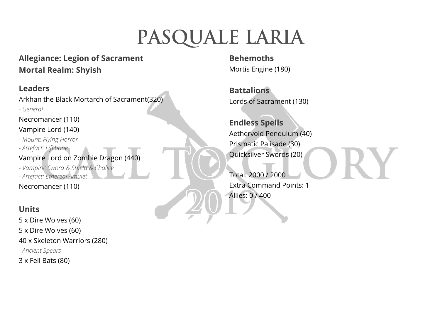# **Pasquale Laria**

# **Allegiance: Legion of Sacrament Mortal Realm: Shyish**

### **Leaders**

Arkhan the Black Mortarch of Sacrament(320)

*- General* 

Necromancer (110)

#### Vampire Lord (140)

- *Mount: Flying Horror*
- *Artefact: Lifebane*

#### Vampire Lord on Zombie Dragon (440)

*- Vampiric Sword & Shield & Chalice* 

*- Artefact: Ethereal Amulet* 

Necromancer (110)

# **Units**

5 x Dire Wolves (60) 5 x Dire Wolves (60) 40 x Skeleton Warriors (280) *- Ancient Spears*  3 x Fell Bats (80)

**Behemoths** Mortis Engine (180)

**Battalions** Lords of Sacrament (130)

**Endless Spells**  Aethervoid Pendulum (40) Prismatic Palisade (30) Quicksilver Swords (20)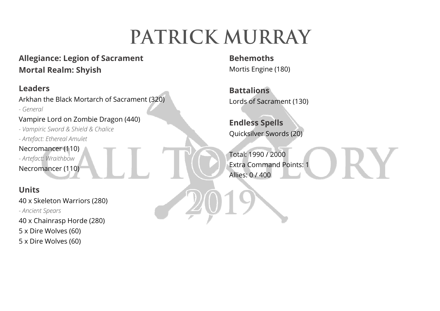# **PATRICK MURRAY**

# **Allegiance: Legion of Sacrament Mortal Realm: Shyish**

### **Leaders**

Arkhan the Black Mortarch of Sacrament (320)

*- General* 

Vampire Lord on Zombie Dragon (440)

*- Vampiric Sword & Shield & Chalice* 

*- Artefact: Ethereal Amulet* 

Necromancer (110)

*- Artefact: Wraithbow* 

Necromancer (110)

# **Units**

40 x Skeleton Warriors (280) *- Ancient Spears*  40 x Chainrasp Horde (280) 5 x Dire Wolves (60) 5 x Dire Wolves (60)

**Behemoths** Mortis Engine (180)

**Battalions** Lords of Sacrament (130)

**Endless Spells**  Quicksilver Swords (20)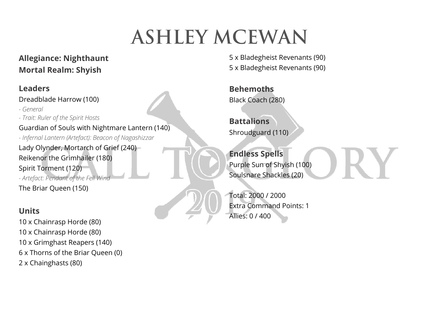# **Ashley mcewan**

# **Allegiance: Nighthaunt Mortal Realm: Shyish**

### **Leaders**

Dreadblade Harrow (100)

*- General - Trait: Ruler of the Spirit Hosts*  Guardian of Souls with Nightmare Lantern (140) *- Infernal Lantern (Artefact): Beacon of Nagashizzar*  Lady Olynder, Mortarch of Grief (240) Reikenor the Grimhailer (180) Spirit Torment (120) *- Artefact: Pendant of the Fell Wind*  The Briar Queen (150)

### **Units**

10 x Chainrasp Horde (80) 10 x Chainrasp Horde (80) 10 x Grimghast Reapers (140) 6 x Thorns of the Briar Queen (0) 2 x Chainghasts (80)

5 x Bladegheist Revenants (90) 5 x Bladegheist Revenants (90)

**Behemoths** Black Coach (280)

**Battalions** Shroudguard (110)

**Endless Spells**  Purple Sun of Shyish (100) Soulsnare Shackles (20)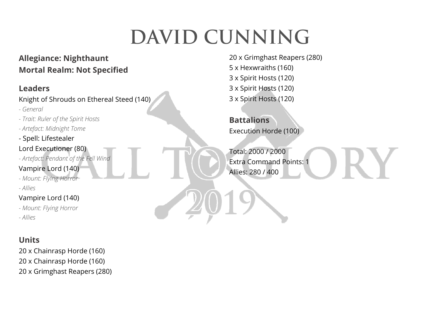# **DAVID CUNNING**

# **Allegiance: Nighthaunt Mortal Realm: Not Specified**

### **Leaders**

Knight of Shrouds on Ethereal Steed (140)

- *General*
- *Trait: Ruler of the Spirit Hosts*
- *Artefact: Midnight Tome*
- Spell: Lifestealer
- Lord Executioner (80)
- *Artefact: Pendant of the Fell Wind*

### Vampire Lord (140)

- *Mount: Flying Horror*
- *Allies*

### Vampire Lord (140)

- *Mount: Flying Horror*
- *Allies*

# **Units**

20 x Chainrasp Horde (160) 20 x Chainrasp Horde (160) 20 x Grimghast Reapers (280) 20 x Grimghast Reapers (280) 5 x Hexwraiths (160) 3 x Spirit Hosts (120) 3 x Spirit Hosts (120) 3 x Spirit Hosts (120)

**Battalions** Execution Horde (100)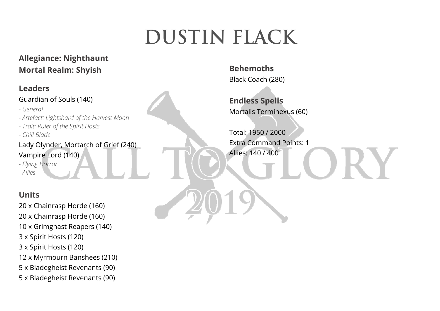# **DUSTIN FLACK**

# **Allegiance: Nighthaunt Mortal Realm: Shyish**

### **Leaders**

#### Guardian of Souls (140)

- *General*
- *Artefact: Lightshard of the Harvest Moon*
- *Trait: Ruler of the Spirit Hosts*
- *Chill Blade*

# Lady Olynder, Mortarch of Grief (240) Vampire Lord (140)

*- Flying Horror* 

*- Allies* 

# **Units**

20 x Chainrasp Horde (160) 20 x Chainrasp Horde (160) 10 x Grimghast Reapers (140) 3 x Spirit Hosts (120) 3 x Spirit Hosts (120) 12 x Myrmourn Banshees (210) 5 x Bladegheist Revenants (90) 5 x Bladegheist Revenants (90)

**Behemoths** Black Coach (280)

**Endless Spells**  Mortalis Terminexus (60)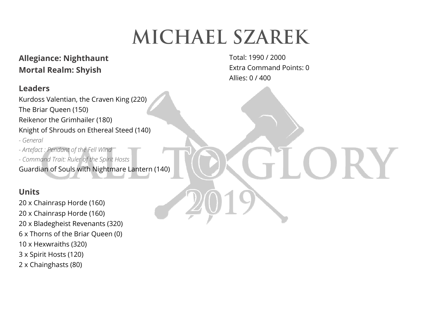# **MICHAEL SZAREK**

### **Allegiance: Nighthaunt Mortal Realm: Shyish**

#### **Leaders**

Kurdoss Valentian, the Craven King (220) The Briar Queen (150) Reikenor the Grimhailer (180) Knight of Shrouds on Ethereal Steed (140) *- General - Artefact : Pendant of the Fell Wind - Command Trait: Ruler of the Spirit Hosts*  Guardian of Souls with Nightmare Lantern (140)

#### **Units**

20 x Chainrasp Horde (160) 20 x Chainrasp Horde (160) 20 x Bladegheist Revenants (320) 6 x Thorns of the Briar Queen (0) 10 x Hexwraiths (320) 3 x Spirit Hosts (120) 2 x Chainghasts (80)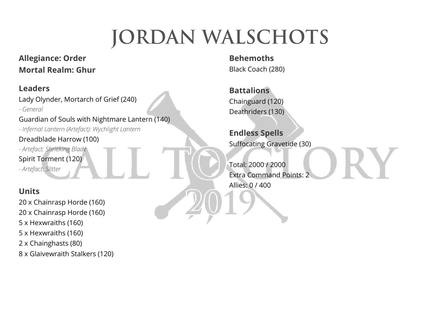# **JORDAN WALSCHOTS**

# **Allegiance: Order Mortal Realm: Ghur**

### **Leaders**

Lady Olynder, Mortarch of Grief (240) *- General* 

Guardian of Souls with Nightmare Lantern (140)

*- Infernal Lantern (Artefact): Wychlight Lantern*  Dreadblade Harrow (100)

*- Artefact: Shrieking Blade*  Spirit Torment (120) *- Artefact: Slitter* 

# **Units**

20 x Chainrasp Horde (160) 20 x Chainrasp Horde (160) 5 x Hexwraiths (160) 5 x Hexwraiths (160) 2 x Chainghasts (80) 8 x Glaivewraith Stalkers (120)

**Behemoths** Black Coach (280)

**Battalions** Chainguard (120) Deathriders (130)

**Endless Spells**  Suffocating Gravetide (30)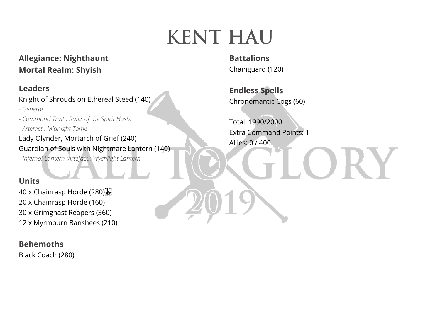# **KENT HAU**

**Allegiance: Nighthaunt Mortal Realm: Shyish** 

#### **Leaders**

Knight of Shrouds on Ethereal Steed (140)

*- General* 

*- Command Trait : Ruler of the Spirit Hosts* 

*- Artefact : Midnight Tome* 

Lady Olynder, Mortarch of Grief (240) Guardian of Souls with Nightmare Lantern (140)

*- Infernal Lantern (Artefact): Wychlight Lantern* 

#### **Units**

40 x Chainrasp Horde (280)<sup>[17]</sup> 20 x Chainrasp Horde (160) 30 x Grimghast Reapers (360) 12 x Myrmourn Banshees (210)

#### **Behemoths**

Black Coach (280)

**Battalions** Chainguard (120)

**Endless Spells**  Chronomantic Cogs (60)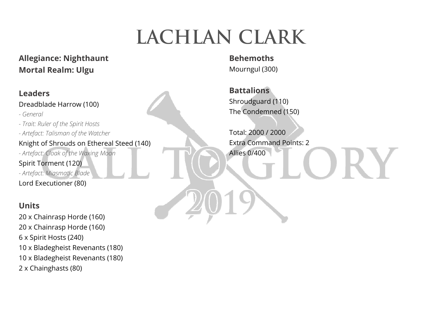# **LACHLAN CLARK**

**Allegiance: Nighthaunt Mortal Realm: Ulgu** 

### **Leaders** Dreadblade Harrow (100) *- General - Trait: Ruler of the Spirit Hosts - Artefact: Talisman of the Watcher*  Knight of Shrouds on Ethereal Steed (140) *- Artefact: Cloak of the Waxing Moon*  Spirit Torment (120) *- Artefact: Miasmatic Blade*  Lord Executioner (80)

### **Units**

20 x Chainrasp Horde (160) 20 x Chainrasp Horde (160) 6 x Spirit Hosts (240) 10 x Bladegheist Revenants (180) 10 x Bladegheist Revenants (180) 2 x Chainghasts (80)

**Behemoths** Mourngul (300)

**Battalions** Shroudguard (110) The Condemned (150)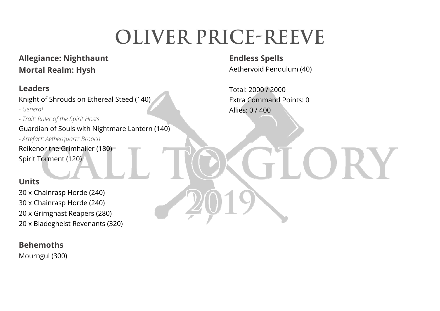# **Oliver price-reeve**

### **Allegiance: Nighthaunt Mortal Realm: Hysh**

### **Leaders**

Knight of Shrouds on Ethereal Steed (140)

*- General* 

*- Trait: Ruler of the Spirit Hosts* 

Guardian of Souls with Nightmare Lantern (140)

*- Artefact: Aetherquartz Brooch* 

Reikenor the Grimhailer (180) Spirit Torment (120)

### **Units**

30 x Chainrasp Horde (240) 30 x Chainrasp Horde (240) 20 x Grimghast Reapers (280) 20 x Bladegheist Revenants (320)

#### **Behemoths**

Mourngul (300)

**Endless Spells**  Aethervoid Pendulum (40)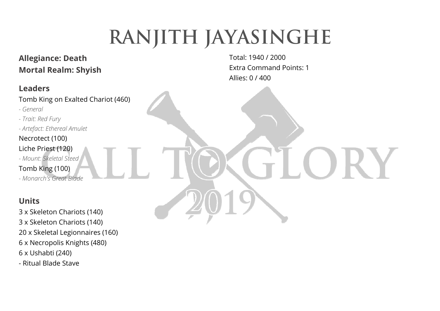# **RANJITH JAYASINGHE**

# **Allegiance: Death Mortal Realm: Shyish**

### **Leaders**

Tomb King on Exalted Chariot (460)

- *General*
- *Trait: Red Fury*
- *Artefact: Ethereal Amulet*

### Necrotect (100)

- Liche Priest (120)
- *Mount: Skeletal Steed*
- Tomb King (100)
- *Monarch's Great Blade*

# **Units**

3 x Skeleton Chariots (140) 3 x Skeleton Chariots (140) 20 x Skeletal Legionnaires (160) 6 x Necropolis Knights (480) 6 x Ushabti (240) - Ritual Blade Stave